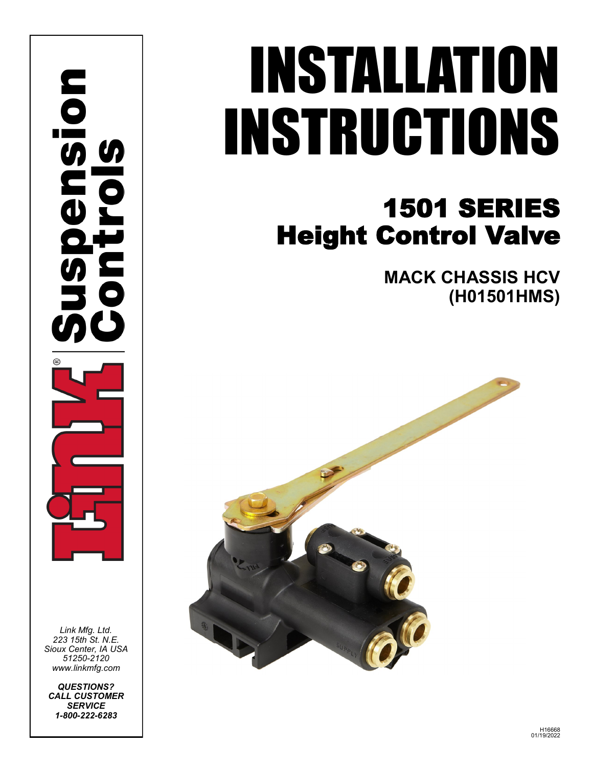*Link Mfg. Ltd. 223 15th St. N.E. Sioux Center, IA USA 51250-2120 www.linkmfg.com*

*QUESTIONS? CALL CUSTOMER SERVICE 1-800-222-6283*

# INSTALLATION INSTRUCTIONS

## 1501 SERIES Height Control Valve

**MACK CHASSIS HCV (H01501HMS)**

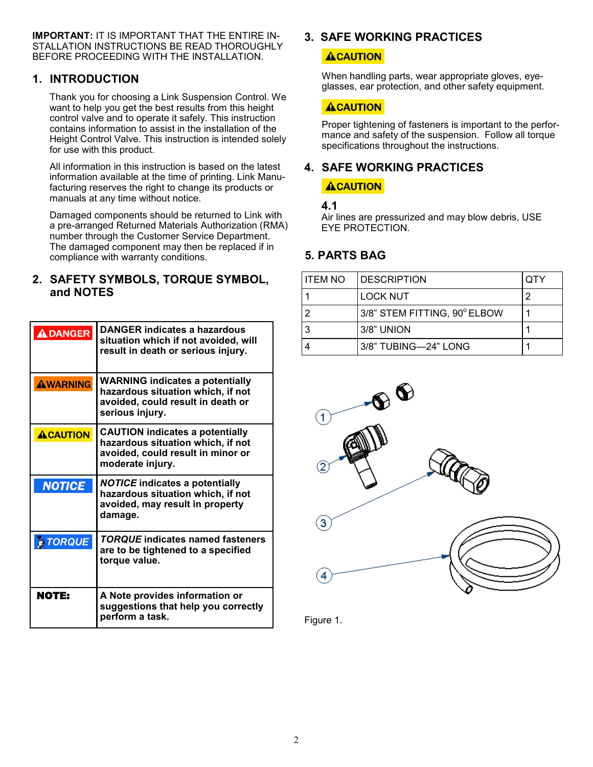**IMPORTANT:** IT IS IMPORTANT THAT THE ENTIRE IN-STALLATION INSTRUCTIONS BE READ THOROUGHLY BEFORE PROCEEDING WITH THE INSTALLATION.

#### **1. INTRODUCTION**

Thank you for choosing a Link Suspension Control. We want to help you get the best results from this height control valve and to operate it safely. This instruction contains information to assist in the installation of the Height Control Valve. This instruction is intended solely for use with this product.

All information in this instruction is based on the latest information available at the time of printing. Link Manufacturing reserves the right to change its products or manuals at any time without notice.

Damaged components should be returned to Link with a pre-arranged Returned Materials Authorization (RMA) number through the Customer Service Department. The damaged component may then be replaced if in compliance with warranty conditions.

#### **2. SAFETY SYMBOLS, TORQUE SYMBOL, and NOTES**

| <b>ADANGER</b>  | <b>DANGER indicates a hazardous</b><br>situation which if not avoided, will<br>result in death or serious injury.                    |
|-----------------|--------------------------------------------------------------------------------------------------------------------------------------|
| <b>AWARNING</b> | <b>WARNING indicates a potentially</b><br>hazardous situation which, if not<br>avoided, could result in death or<br>serious injury.  |
| <b>ACAUTION</b> | <b>CAUTION indicates a potentially</b><br>hazardous situation which, if not<br>avoided, could result in minor or<br>moderate injury. |
| <b>NOTICE</b>   | <b>NOTICE</b> indicates a potentially<br>hazardous situation which, if not<br>avoided, may result in property<br>damage.             |
| <b>E TORQUE</b> | <b>TORQUE indicates named fasteners</b><br>are to be tightened to a specified<br>torque value.                                       |
| NOTE:           | A Note provides information or<br>suggestions that help you correctly<br>perform a task.                                             |

#### **3. SAFE WORKING PRACTICES**

#### **ACAUTION**

When handling parts, wear appropriate gloves, eyeglasses, ear protection, and other safety equipment.

#### **ACAUTION**

Proper tightening of fasteners is important to the performance and safety of the suspension. Follow all torque specifications throughout the instructions.

### **4. SAFE WORKING PRACTICES**

#### **ACAUTION**

#### **4.1**

Air lines are pressurized and may blow debris, USE EYE PROTECTION.

#### **5. PARTS BAG**

| <b>ITEM NO</b> | <b>IDESCRIPTION</b>          |   |
|----------------|------------------------------|---|
|                | <b>LOCK NUT</b>              | 2 |
|                | 3/8" STEM FITTING, 90° ELBOW |   |
| ર              | 3/8" UNION                   |   |
|                | 3/8" TUBING-24" LONG         |   |



Figure 1.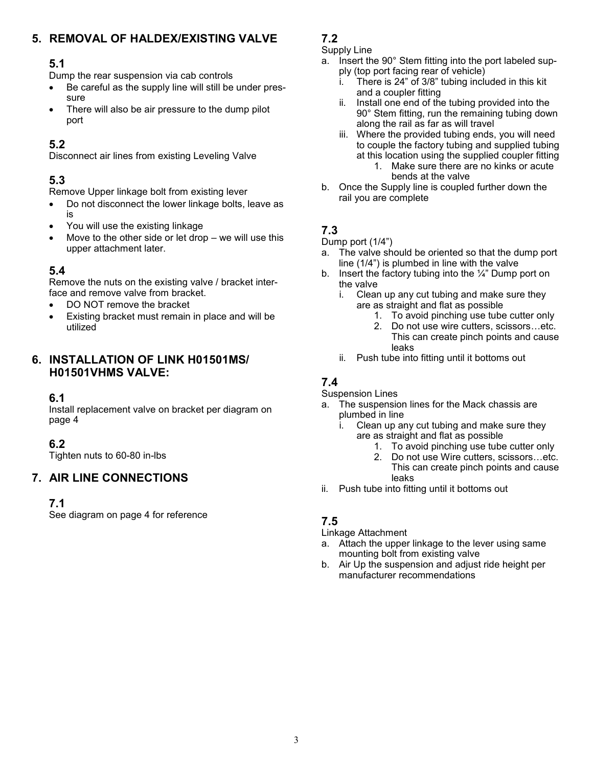#### **5. REMOVAL OF HALDEX/EXISTING VALVE**

#### **5.1**

- Dump the rear suspension via cab controls
- Be careful as the supply line will still be under pressure
- There will also be air pressure to the dump pilot port

#### **5.2**

Disconnect air lines from existing Leveling Valve

#### **5.3**

Remove Upper linkage bolt from existing lever

- Do not disconnect the lower linkage bolts, leave as is
- You will use the existing linkage
- Move to the other side or let drop  $-$  we will use this upper attachment later.

#### **5.4**

Remove the nuts on the existing valve / bracket interface and remove valve from bracket.

- DO NOT remove the bracket
- Existing bracket must remain in place and will be utilized

#### **6. INSTALLATION OF LINK H01501MS/ H01501VHMS VALVE:**

#### **6.1**

Install replacement valve on bracket per diagram on page 4

#### **6.2**

Tighten nuts to 60-80 in-lbs

#### **7. AIR LINE CONNECTIONS**

#### **7.1**

See diagram on page 4 for reference

#### **7.2**

Supply Line

- a. Insert the 90° Stem fitting into the port labeled sup
	- ply (top port facing rear of vehicle)
		- There is 24" of 3/8" tubing included in this kit and a coupler fitting
		- ii. Install one end of the tubing provided into the 90° Stem fitting, run the remaining tubing down along the rail as far as will travel
		- iii. Where the provided tubing ends, you will need to couple the factory tubing and supplied tubing at this location using the supplied coupler fitting
			- 1. Make sure there are no kinks or acute bends at the valve
- b. Once the Supply line is coupled further down the rail you are complete

#### **7.3**

Dump port (1/4")

- The valve should be oriented so that the dump port line (1/4") is plumbed in line with the valve
- b. Insert the factory tubing into the  $\frac{1}{4}$ " Dump port on the valve
	- i. Clean up any cut tubing and make sure they are as straight and flat as possible
		- 1. To avoid pinching use tube cutter only
		- 2. Do not use wire cutters, scissors…etc. This can create pinch points and cause leaks
	- ii. Push tube into fitting until it bottoms out

#### **7.4**

#### Suspension Lines

- a. The suspension lines for the Mack chassis are plumbed in line
	- i. Clean up any cut tubing and make sure they are as straight and flat as possible
		- 1. To avoid pinching use tube cutter only
		- 2. Do not use Wire cutters, scissors…etc. This can create pinch points and cause leaks
- ii. Push tube into fitting until it bottoms out

#### **7.5**

Linkage Attachment

- a. Attach the upper linkage to the lever using same mounting bolt from existing valve
- b. Air Up the suspension and adjust ride height per manufacturer recommendations